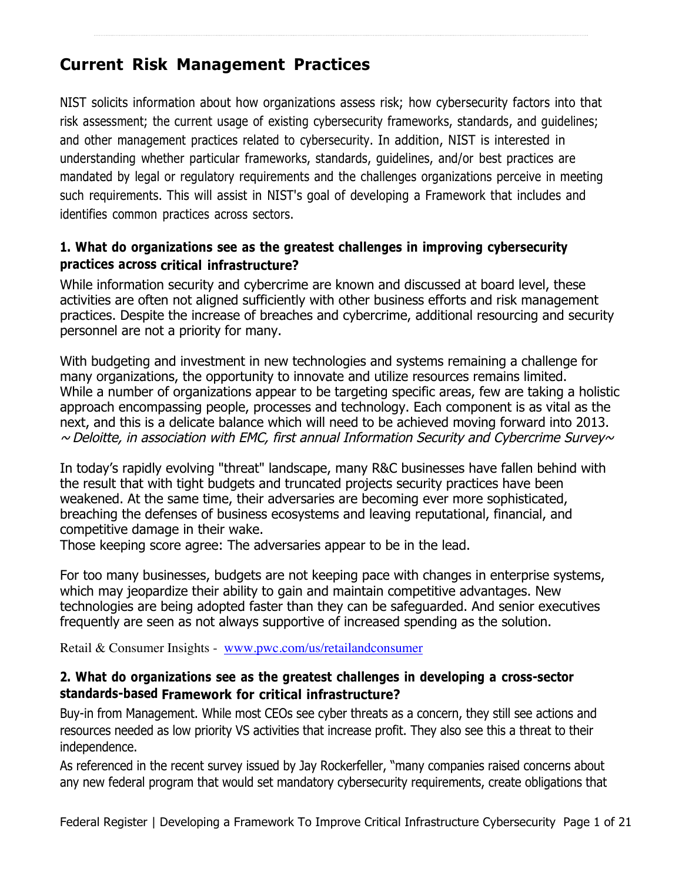# **Current Risk Management Practices**

 NIST solicits information about how organizations assess risk; how cybersecurity factors into that risk assessment; the current usage of existing cybersecurity frameworks, standards, and guidelines; and other management practices related to cybersecurity. In addition, NIST is interested in understanding whether particular frameworks, standards, guidelines, and/or best practices are mandated by legal or regulatory requirements and the challenges organizations perceive in meeting such requirements. This will assist in NIST's goal of developing a Framework that includes and identifies common practices across sectors.

## **1. What do organizations see as the greatest challenges in improving cybersecurity practices across critical infrastructure?**

 While information security and cybercrime are known and discussed at board level, these activities are often not aligned sufficiently with other business efforts and risk management practices. Despite the increase of breaches and cybercrime, additional resourcing and security personnel are not a priority for many.

 With budgeting and investment in new technologies and systems remaining a challenge for many organizations, the opportunity to innovate and utilize resources remains limited. While a number of organizations appear to be targeting specific areas, few are taking a holistic approach encompassing people, processes and technology. Each component is as vital as the next, and this is a delicate balance which will need to be achieved moving forward into 2013.  $\sim$  Deloitte, in association with EMC, first annual Information Security and Cybercrime Survey $\sim$ 

 In today's rapidly evolving "threat" landscape, many R&C businesses have fallen behind with the result that with tight budgets and truncated projects security practices have been weakened. At the same time, their adversaries are becoming ever more sophisticated, breaching the defenses of business ecosystems and leaving reputational, financial, and competitive damage in their wake.

Those keeping score agree: The adversaries appear to be in the lead.

 For too many businesses, budgets are not keeping pace with changes in enterprise systems, which may jeopardize their ability to gain and maintain competitive advantages. New technologies are being adopted faster than they can be safeguarded. And senior executives frequently are seen as not always supportive of increased spending as the solution.

Retail & Consumer Insights - www.pwc.com/us/retailandconsumer

#### **2. What do organizations see as the greatest challenges in developing a cross-sector standards-based Framework for critical infrastructure?**

 Buy-in from Management. While most CEOs see cyber threats as a concern, they still see actions and resources needed as low priority VS activities that increase profit. They also see this a threat to their independence.

 As referenced in the recent survey issued by Jay Rockerfeller, "many companies raised concerns about any new federal program that would set mandatory cybersecurity requirements, create obligations that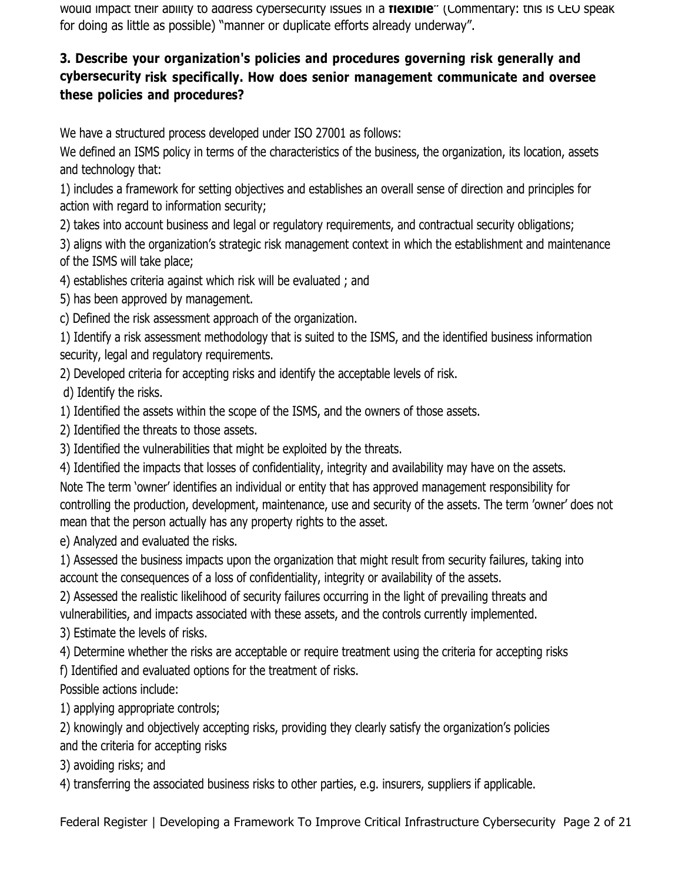would impact their ability to address cybersecurity issues in a **flexible"** (Commentary: this is CEO speak for doing as little as possible) "manner or duplicate efforts already underway".

## **3. Describe your organization's policies and procedures governing risk generally and cybersecurity risk specifically. How does senior management communicate and oversee these policies and procedures?**

We have a structured process developed under ISO 27001 as follows:

 We defined an ISMS policy in terms of the characteristics of the business, the organization, its location, assets and technology that:

 1) includes a framework for setting objectives and establishes an overall sense of direction and principles for action with regard to information security;

2) takes into account business and legal or regulatory requirements, and contractual security obligations;

 3) aligns with the organization's strategic risk management context in which the establishment and maintenance of the ISMS will take place;

4) establishes criteria against which risk will be evaluated ; and

5) has been approved by management.

c) Defined the risk assessment approach of the organization.

 1) Identify a risk assessment methodology that is suited to the ISMS, and the identified business information security, legal and regulatory requirements.

2) Developed criteria for accepting risks and identify the acceptable levels of risk.

d) Identify the risks.

1) Identified the assets within the scope of the ISMS, and the owners of those assets.

2) Identified the threats to those assets.

3) Identified the vulnerabilities that might be exploited by the threats.

4) Identified the impacts that losses of confidentiality, integrity and availability may have on the assets.

 Note The term 'owner' identifies an individual or entity that has approved management responsibility for controlling the production, development, maintenance, use and security of the assets. The term 'owner' does not mean that the person actually has any property rights to the asset.

e) Analyzed and evaluated the risks.

 1) Assessed the business impacts upon the organization that might result from security failures, taking into account the consequences of a loss of confidentiality, integrity or availability of the assets.

 2) Assessed the realistic likelihood of security failures occurring in the light of prevailing threats and vulnerabilities, and impacts associated with these assets, and the controls currently implemented.

3) Estimate the levels of risks.

4) Determine whether the risks are acceptable or require treatment using the criteria for accepting risks

f) Identified and evaluated options for the treatment of risks.

Possible actions include:

1) applying appropriate controls;

 2) knowingly and objectively accepting risks, providing they clearly satisfy the organization's policies and the criteria for accepting risks

3) avoiding risks; and

4) transferring the associated business risks to other parties, e.g. insurers, suppliers if applicable.

Federal Register | Developing a Framework To Improve Critical Infrastructure Cybersecurity Page 2 of 21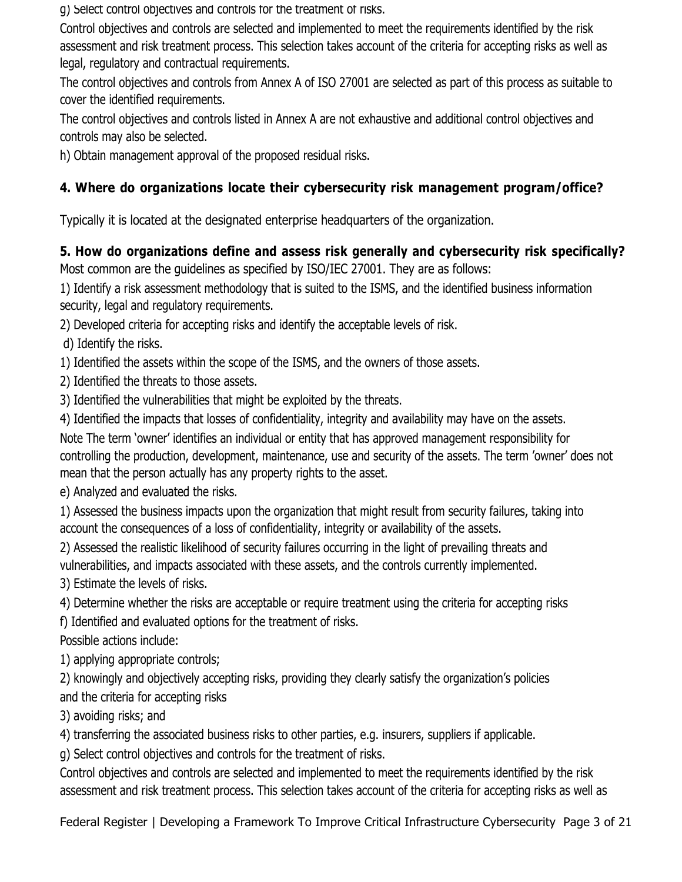g) Select control objectives and controls for the treatment of risks.

 Control objectives and controls are selected and implemented to meet the requirements identified by the risk assessment and risk treatment process. This selection takes account of the criteria for accepting risks as well as legal, regulatory and contractual requirements.

 The control objectives and controls from Annex A of ISO 27001 are selected as part of this process as suitable to cover the identified requirements.

 The control objectives and controls listed in Annex A are not exhaustive and additional control objectives and controls may also be selected.

h) Obtain management approval of the proposed residual risks.

## **4. Where do organizations locate their cybersecurity risk management program/office?**

Typically it is located at the designated enterprise headquarters of the organization.

## **5. How do organizations define and assess risk generally and cybersecurity risk specifically?**

Most common are the guidelines as specified by ISO/IEC 27001. They are as follows:

 1) Identify a risk assessment methodology that is suited to the ISMS, and the identified business information security, legal and regulatory requirements.

2) Developed criteria for accepting risks and identify the acceptable levels of risk.

d) Identify the risks.

1) Identified the assets within the scope of the ISMS, and the owners of those assets.

2) Identified the threats to those assets.

3) Identified the vulnerabilities that might be exploited by the threats.

4) Identified the impacts that losses of confidentiality, integrity and availability may have on the assets.

 Note The term 'owner' identifies an individual or entity that has approved management responsibility for controlling the production, development, maintenance, use and security of the assets. The term 'owner' does not mean that the person actually has any property rights to the asset.

e) Analyzed and evaluated the risks.

 1) Assessed the business impacts upon the organization that might result from security failures, taking into account the consequences of a loss of confidentiality, integrity or availability of the assets.

 2) Assessed the realistic likelihood of security failures occurring in the light of prevailing threats and vulnerabilities, and impacts associated with these assets, and the controls currently implemented.

3) Estimate the levels of risks.

4) Determine whether the risks are acceptable or require treatment using the criteria for accepting risks

f) Identified and evaluated options for the treatment of risks.

Possible actions include:

1) applying appropriate controls;

 2) knowingly and objectively accepting risks, providing they clearly satisfy the organization's policies and the criteria for accepting risks

3) avoiding risks; and

4) transferring the associated business risks to other parties, e.g. insurers, suppliers if applicable.

g) Select control objectives and controls for the treatment of risks.

 Control objectives and controls are selected and implemented to meet the requirements identified by the risk assessment and risk treatment process. This selection takes account of the criteria for accepting risks as well as

Federal Register | Developing a Framework To Improve Critical Infrastructure Cybersecurity Page 3 of 21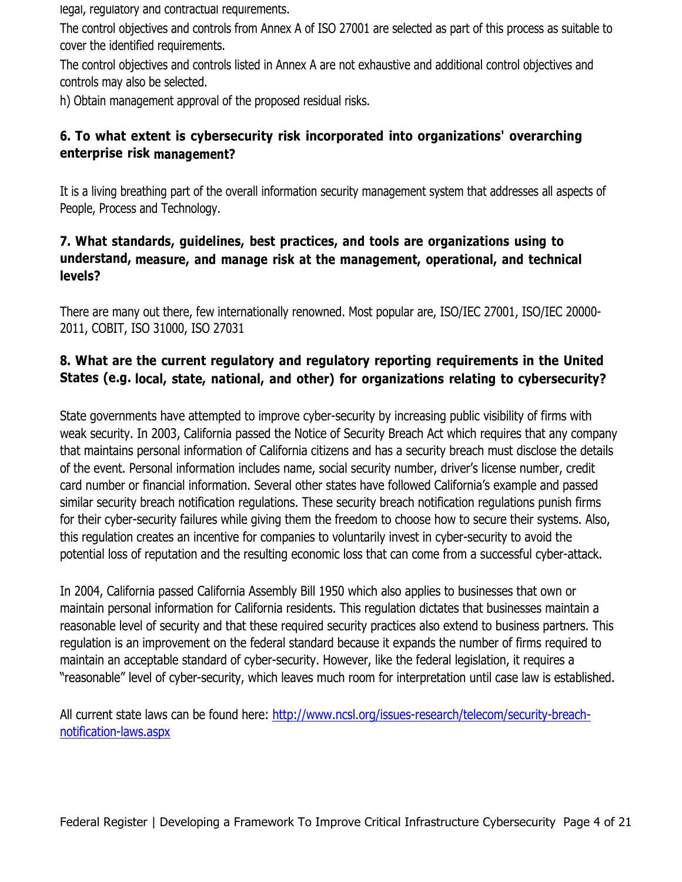legal, regulatory and contractual requirements.

 The control objectives and controls from Annex A of ISO 27001 are selected as part of this process as suitable to cover the identified requirements.

 The control objectives and controls listed in Annex A are not exhaustive and additional control objectives and controls may also be selected.

h) Obtain management approval of the proposed residual risks.

## **6. To what extent is cybersecurity risk incorporated into organizations' overarching enterprise risk management?**

 It is a living breathing part of the overall information security management system that addresses all aspects of People, Process and Technology.

## **7. What standards, guidelines, best practices, and tools are organizations using to understand, measure, and manage risk at the management, operational, and technical levels?**

 There are many out there, few internationally renowned. Most popular are, ISO/IEC 27001, ISO/IEC 20000- 2011, COBIT, ISO 31000, ISO 27031

## **8. What are the current regulatory and regulatory reporting requirements in the United States (e.g. local, state, national, and other) for organizations relating to cybersecurity?**

 State governments have attempted to improve cyber-security by increasing public visibility of firms with weak security. In 2003, California passed the Notice of Security Breach Act which requires that any company card number or financial information. Several other states have followed California's example and passed similar security breach notification regulations. These security breach notification regulations punish firms for their cyber-security failures while giving them the freedom to choose how to secure their systems. Also, this regulation creates an incentive for companies to voluntarily invest in cyber-security to avoid the that maintains personal information of California citizens and has a security breach must disclose the details of the event. Personal information includes name, social security number, driver's license number, credit potential loss of reputation and the resulting economic loss that can come from a successful cyber-attack.

 In 2004, California passed California Assembly Bill 1950 which also applies to businesses that own or reasonable level of security and that these required security practices also extend to business partners. This regulation is an improvement on the federal standard because it expands the number of firms required to maintain an acceptable standard of cyber-security. However, like the federal legislation, it requires a "reasonable" level of cyber-security, which leaves much room for interpretation until case law is established. maintain personal information for California residents. This regulation dictates that businesses maintain a

All current state laws can be found here: <u>http://www.ncsl.org/issues-research/telecom/security-breach-</u> notification-laws.aspx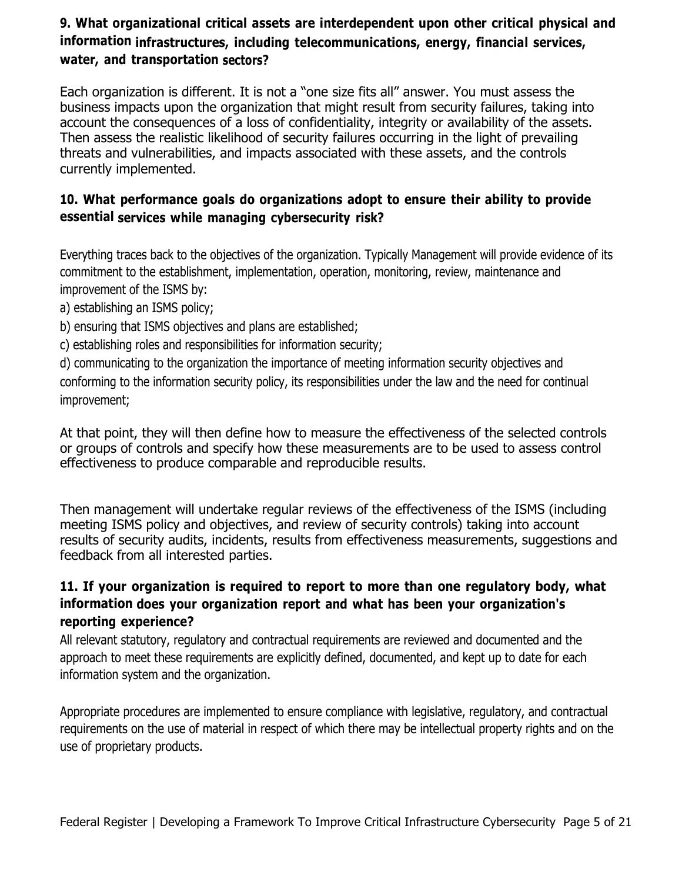## **9. What organizational critical assets are interdependent upon other critical physical and information infrastructures, including telecommunications, energy, financial services, water, and transportation sectors?**

 Each organization is different. It is not a "one size fits all" answer. You must assess the business impacts upon the organization that might result from security failures, taking into account the consequences of a loss of confidentiality, integrity or availability of the assets. Then assess the realistic likelihood of security failures occurring in the light of prevailing threats and vulnerabilities, and impacts associated with these assets, and the controls currently implemented.

## **10. What performance goals do organizations adopt to ensure their ability to provide essential services while managing cybersecurity risk?**

Everything traces back to the objectives of the organization. Typically Management will provide evidence of its commitment to the establishment, implementation, operation, monitoring, review, maintenance and improvement of the ISMS by:

- a) establishing an ISMS policy;
- b) ensuring that ISMS objectives and plans are established;
- c) establishing roles and responsibilities for information security;

 conforming to the information security policy, its responsibilities under the law and the need for continual d) communicating to the organization the importance of meeting information security objectives and improvement;

 At that point, they will then define how to measure the effectiveness of the selected controls or groups of controls and specify how these measurements are to be used to assess control effectiveness to produce comparable and reproducible results.

 Then management will undertake regular reviews of the effectiveness of the ISMS (including meeting ISMS policy and objectives, and review of security controls) taking into account results of security audits, incidents, results from effectiveness measurements, suggestions and feedback from all interested parties.

## **11. If your organization is required to report to more than one regulatory body, what information does your organization report and what has been your organization's reporting experience?**

 All relevant statutory, regulatory and contractual requirements are reviewed and documented and the approach to meet these requirements are explicitly defined, documented, and kept up to date for each information system and the organization.

 Appropriate procedures are implemented to ensure compliance with legislative, regulatory, and contractual requirements on the use of material in respect of which there may be intellectual property rights and on the use of proprietary products.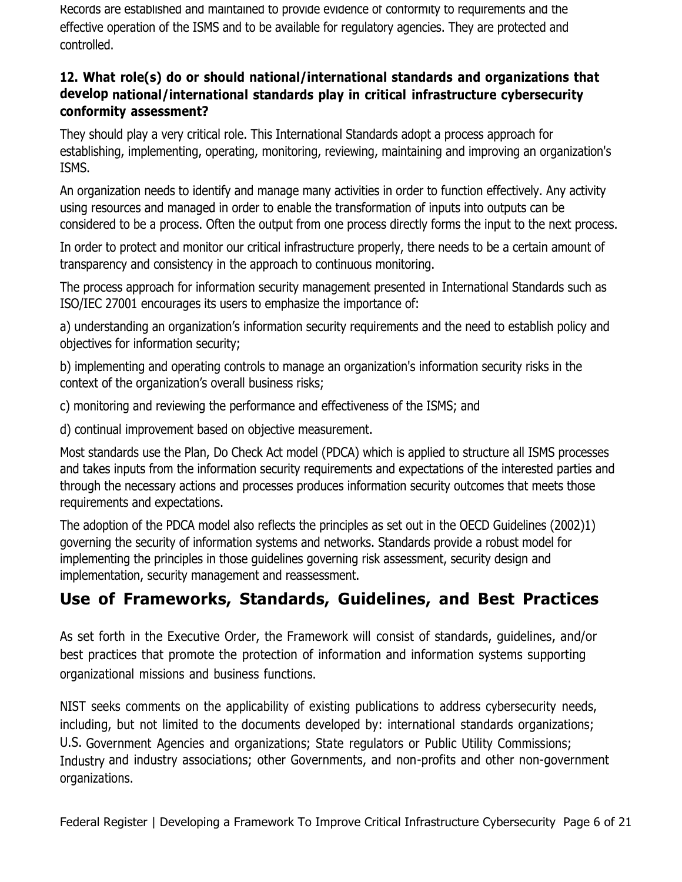effective operation of the ISMS and to be available for regulatory agencies. They are protected and Records are established and maintained to provide evidence of conformity to requirements and the controlled.

## **12. What role(s) do or should national/international standards and organizations that develop national/international standards play in critical infrastructure cybersecurity conformity assessment?**

 They should play a very critical role. This International Standards adopt a process approach for establishing, implementing, operating, monitoring, reviewing, maintaining and improving an organization's ISMS.

 An organization needs to identify and manage many activities in order to function effectively. Any activity using resources and managed in order to enable the transformation of inputs into outputs can be considered to be a process. Often the output from one process directly forms the input to the next process.

 In order to protect and monitor our critical infrastructure properly, there needs to be a certain amount of transparency and consistency in the approach to continuous monitoring.

 The process approach for information security management presented in International Standards such as ISO/IEC 27001 encourages its users to emphasize the importance of:

 a) understanding an organization's information security requirements and the need to establish policy and objectives for information security;

 b) implementing and operating controls to manage an organization's information security risks in the context of the organization's overall business risks;

c) monitoring and reviewing the performance and effectiveness of the ISMS; and

d) continual improvement based on objective measurement.

 Most standards use the Plan, Do Check Act model (PDCA) which is applied to structure all ISMS processes and takes inputs from the information security requirements and expectations of the interested parties and through the necessary actions and processes produces information security outcomes that meets those requirements and expectations.

 The adoption of the PDCA model also reflects the principles as set out in the OECD Guidelines (2002)1) governing the security of information systems and networks. Standards provide a robust model for implementing the principles in those guidelines governing risk assessment, security design and implementation, security management and reassessment.

# **Use of Frameworks, Standards, Guidelines, and Best Practices**

 As set forth in the Executive Order, the Framework will consist of standards, guidelines, and/or best practices that promote the protection of information and information systems supporting organizational missions and business functions.

 NIST seeks comments on the applicability of existing publications to address cybersecurity needs, including, but not limited to the documents developed by: international standards organizations; U.S. Government Agencies and organizations; State regulators or Public Utility Commissions; Industry and industry associations; other Governments, and non-profits and other non-government organizations.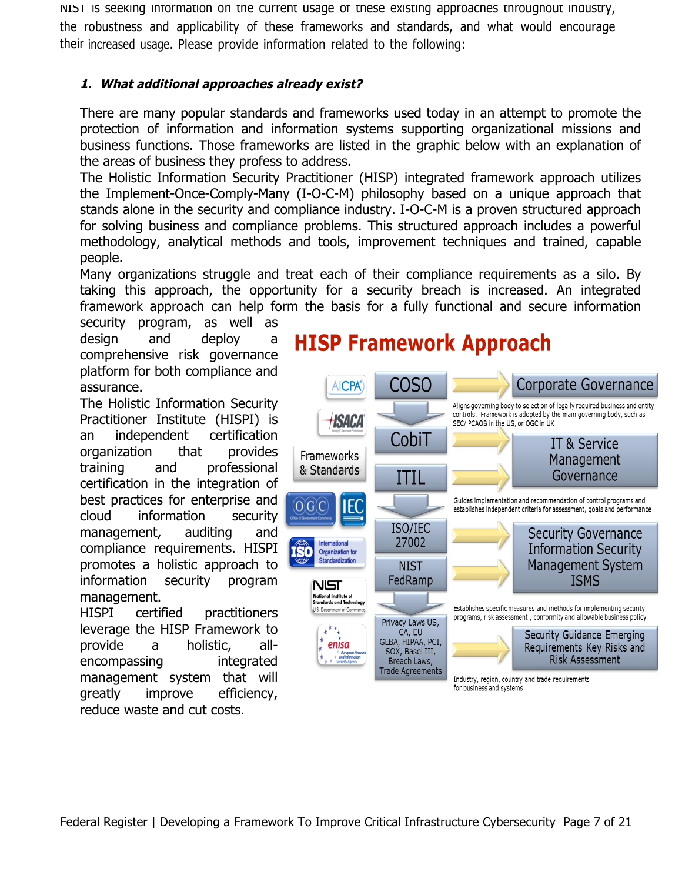NIST is seeking information on the current usage of these existing approaches throughout industry, the robustness and applicability of these frameworks and standards, and what would encourage their increased usage. Please provide information related to the following:

#### **1. What additional approaches already exist?**

 There are many popular standards and frameworks used today in an attempt to promote the protection of information and information systems supporting organizational missions and business functions. Those frameworks are listed in the graphic below with an explanation of the areas of business they profess to address.

 The Holistic Information Security Practitioner (HISP) integrated framework approach utilizes the Implement-Once-Comply-Many (I-O-C-M) philosophy based on a unique approach that stands alone in the security and compliance industry. I-O-C-M is a proven structured approach for solving business and compliance problems. This structured approach includes a powerful methodology, analytical methods and tools, improvement techniques and trained, capable people.

 Many organizations struggle and treat each of their compliance requirements as a silo. By taking this approach, the opportunity for a security breach is increased. An integrated framework approach can help form the basis for a fully functional and secure information

 security program, as well as desian platform for both compliance and and deploy a comprehensive risk governance assurance.

 The Holistic Information Security Practitioner Institute (HISPI) is organization that provides training certification in the integration of best practices for enterprise and promotes a holistic approach to an independent certification and professional cloud information security management, auditing and compliance requirements. HISPI information security program management.

 leverage the HISP Framework to provide management system that will reduce waste and cut costs. HISPI certified practitioners a holistic, allencompassing integrated greatly improve efficiency,

# **HISP Framework Approach**

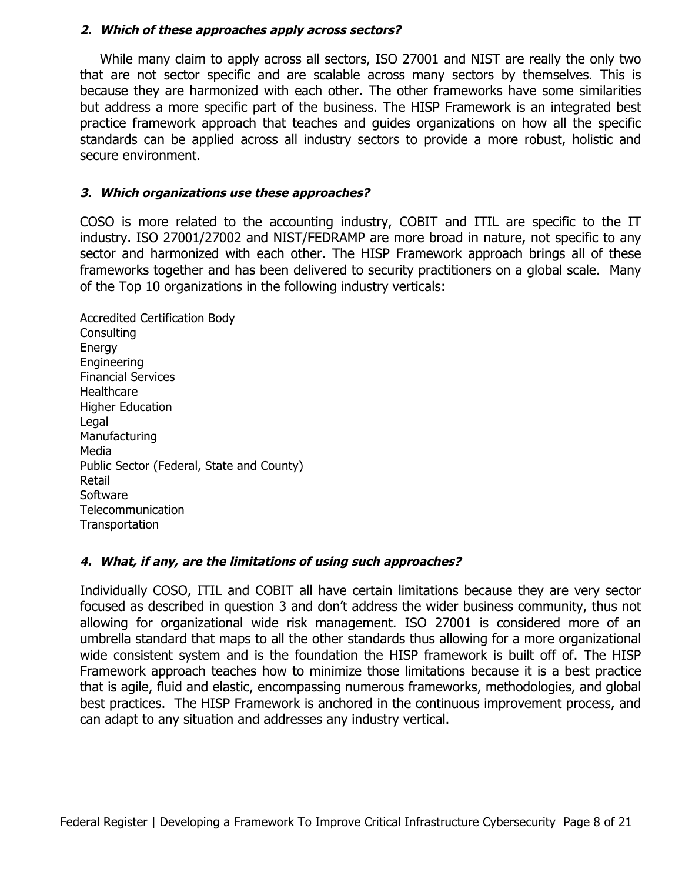#### **2. Which of these approaches apply across sectors?**

 While many claim to apply across all sectors, ISO 27001 and NIST are really the only two that are not sector specific and are scalable across many sectors by themselves. This is because they are harmonized with each other. The other frameworks have some similarities but address a more specific part of the business. The HISP Framework is an integrated best practice framework approach that teaches and guides organizations on how all the specific standards can be applied across all industry sectors to provide a more robust, holistic and secure environment.

#### **3. Which organizations use these approaches?**

 COSO is more related to the accounting industry, COBIT and ITIL are specific to the IT industry. ISO 27001/27002 and NIST/FEDRAMP are more broad in nature, not specific to any sector and harmonized with each other. The HISP Framework approach brings all of these frameworks together and has been delivered to security practitioners on a global scale. Many of the Top 10 organizations in the following industry verticals:

 Public Sector (Federal, State and County) Accredited Certification Body **Consulting** Energy Engineering Financial Services **Healthcare** Higher Education Legal **Manufacturing** Media Retail Software Telecommunication **Transportation** 

#### **4. What, if any, are the limitations of using such approaches?**

 Individually COSO, ITIL and COBIT all have certain limitations because they are very sector focused as described in question 3 and don't address the wider business community, thus not allowing for organizational wide risk management. ISO 27001 is considered more of an umbrella standard that maps to all the other standards thus allowing for a more organizational wide consistent system and is the foundation the HISP framework is built off of. The HISP Framework approach teaches how to minimize those limitations because it is a best practice that is agile, fluid and elastic, encompassing numerous frameworks, methodologies, and global best practices. The HISP Framework is anchored in the continuous improvement process, and can adapt to any situation and addresses any industry vertical.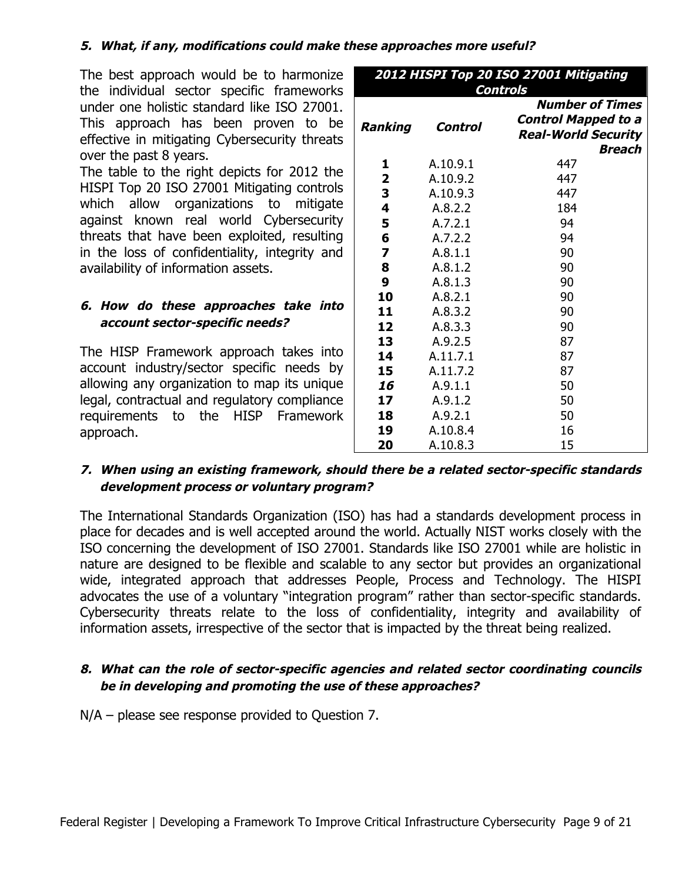#### **5. What, if any, modifications could make these approaches more useful?**

 The best approach would be to harmonize the individual sector specific frameworks under one holistic standard like ISO 27001. This approach has been proven to be effective in mitigating Cybersecurity threats over the past 8 years.

 The table to the right depicts for 2012 the HISPI Top 20 ISO 27001 Mitigating controls which allow organizations to mitigate against known real world Cybersecurity threats that have been exploited, resulting in the loss of confidentiality, integrity and availability of information assets.

#### **6. How do these approaches take into account sector-specific needs?**

 The HISP Framework approach takes into account industry/sector specific needs by allowing any organization to map its unique legal, contractual and regulatory compliance requirements to the HISP Framework approach.

| 2012 HISPI Top 20 ISO 27001 Mitigating<br>Controls |          |                                                                                              |
|----------------------------------------------------|----------|----------------------------------------------------------------------------------------------|
| Ranking                                            | Control  | <b>Number of Times</b><br><b>Control Mapped to a</b><br><b>Real-World Security</b><br>Breach |
| 1                                                  | A.10.9.1 | 447                                                                                          |
| 2                                                  | A.10.9.2 | 447                                                                                          |
| 3                                                  | A.10.9.3 | 447                                                                                          |
| 4                                                  | A.8.2.2  | 184                                                                                          |
| 5                                                  | A.7.2.1  | 94                                                                                           |
| 6                                                  | A.7.2.2  | 94                                                                                           |
| 7                                                  | A.8.1.1  | 90                                                                                           |
| 8                                                  | A.8.1.2  | 90                                                                                           |
| 9                                                  | A.8.1.3  | 90                                                                                           |
| 10                                                 | A.8.2.1  | 90                                                                                           |
| 11                                                 | A.8.3.2  | 90                                                                                           |
| 12                                                 | A.8.3.3  | 90                                                                                           |
| 13                                                 | A.9.2.5  | 87                                                                                           |
| 14                                                 | A.11.7.1 | 87                                                                                           |
| 15                                                 | A.11.7.2 | 87                                                                                           |
| 16                                                 | A.9.1.1  | 50                                                                                           |
| 17                                                 | A.9.1.2  | 50                                                                                           |
| 18                                                 | A.9.2.1  | 50                                                                                           |
| 19                                                 | A.10.8.4 | 16                                                                                           |
| 20                                                 | A.10.8.3 | 15                                                                                           |

#### **7. When using an existing framework, should there be a related sector-specific standards development process or voluntary program?**

 The International Standards Organization (ISO) has had a standards development process in place for decades and is well accepted around the world. Actually NIST works closely with the ISO concerning the development of ISO 27001. Standards like ISO 27001 while are holistic in nature are designed to be flexible and scalable to any sector but provides an organizational wide, integrated approach that addresses People, Process and Technology. The HISPI advocates the use of a voluntary "integration program" rather than sector-specific standards. Cybersecurity threats relate to the loss of confidentiality, integrity and availability of information assets, irrespective of the sector that is impacted by the threat being realized.

#### **8. What can the role of sector-specific agencies and related sector coordinating councils be in developing and promoting the use of these approaches?**

N/A – please see response provided to Question 7.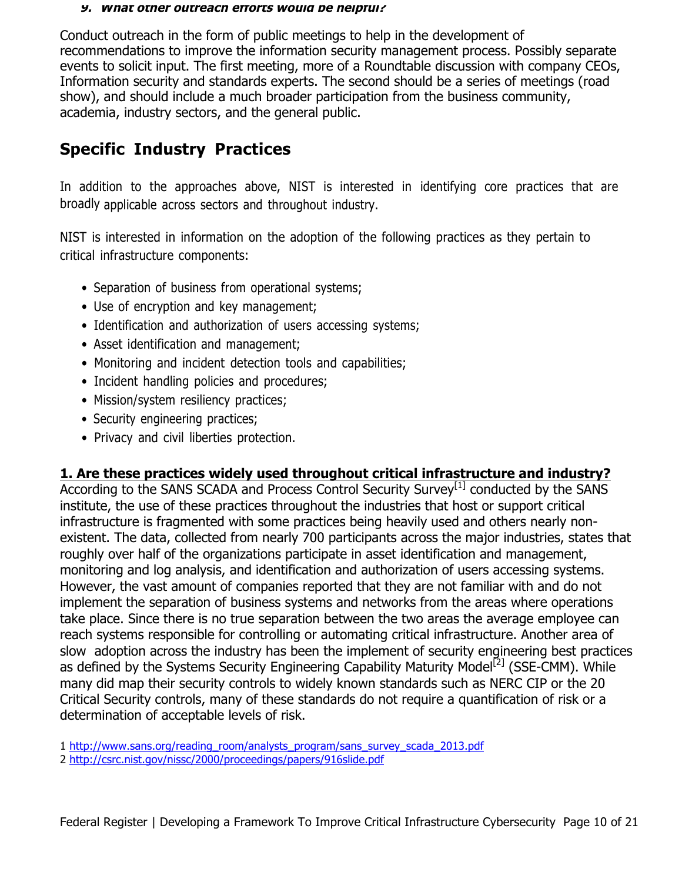#### **9. What other outreach efforts would be helpful?**

 Conduct outreach in the form of public meetings to help in the development of recommendations to improve the information security management process. Possibly separate events to solicit input. The first meeting, more of a Roundtable discussion with company CEOs, Information security and standards experts. The second should be a series of meetings (road show), and should include a much broader participation from the business community, academia, industry sectors, and the general public.

# **Specific Industry Practices**

 In addition to the approaches above, NIST is interested in identifying core practices that are broadly applicable across sectors and throughout industry.

 NIST is interested in information on the adoption of the following practices as they pertain to critical infrastructure components:

- Separation of business from operational systems;
- Use of encryption and key management;
- Identification and authorization of users accessing systems;
- Asset identification and management;
- Monitoring and incident detection tools and capabilities;
- Incident handling policies and procedures;
- Mission/system resiliency practices;
- Security engineering practices;
- Privacy and civil liberties protection.

## **1. Are these practices widely used throughout critical infrastructure and industry?**

According to the SANS SCADA and Process Control Security Survey<sup>[1]</sup> conducted by the SANS institute, the use of these practices throughout the industries that host or support critical infrastructure is fragmented with some practices being heavily used and others nearly non- existent. The data, collected from nearly 700 participants across the major industries, states that roughly over half of the organizations participate in asset identification and management, monitoring and log analysis, and identification and authorization of users accessing systems. However, the vast amount of companies reported that they are not familiar with and do not implement the separation of business systems and networks from the areas where operations take place. Since there is no true separation between the two areas the average employee can reach systems responsible for controlling or automating critical infrastructure. Another area of slow adoption across the industry has been the implement of security engineering best practices as defined by the Systems Security Engineering Capability Maturity Model<sup>[2]</sup> (SSE-CMM). While many did map their security controls to widely known standards such as NERC CIP or the 20 Critical Security controls, many of these standards do not require a quantification of risk or a determination of acceptable levels of risk.

1 http://www.sans.org/reading\_room/analysts\_program/sans\_survey\_scada\_2013.pdf

2 http://csrc.nist.gov/nissc/2000/proceedings/papers/916slide.pdf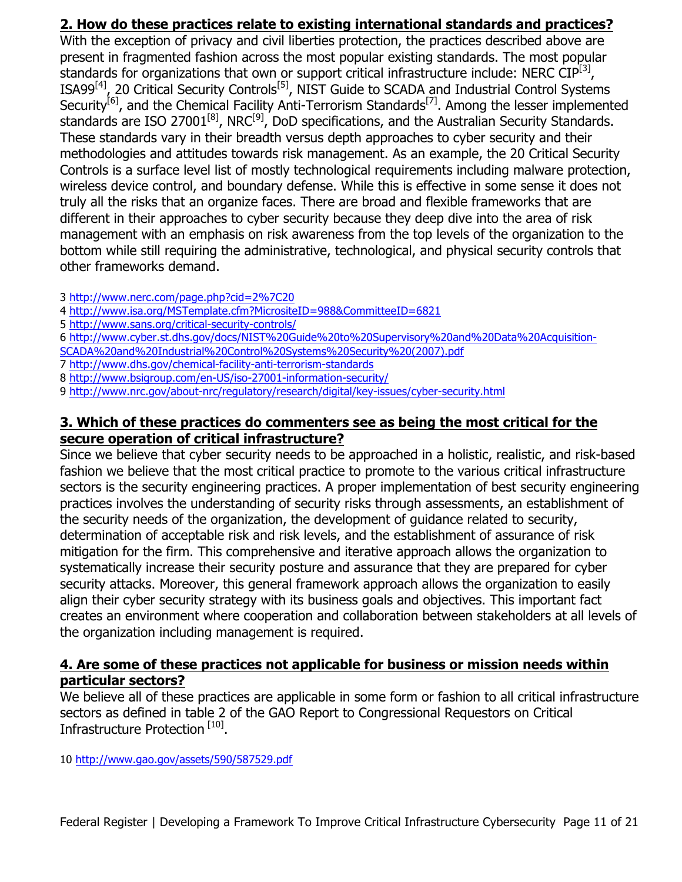## **2. How do these practices relate to existing international standards and practices?**

 With the exception of privacy and civil liberties protection, the practices described above are present in fragmented fashion across the most popular existing standards. The most popular standards for organizations that own or support critical infrastructure include: NERC CIP<sup>[3]</sup>, ISA99 $^{[4]}$ , 20 Critical Security Controls<sup>[5]</sup>, NIST Guide to SCADA and Industrial Control Systems Security<sup>[6]</sup>, and the Chemical Facility Anti-Terrorism Standards<sup>[7]</sup>. Among the lesser implemented standards are ISO 27001<sup>[8]</sup>, NRC<sup>[9]</sup>, DoD specifications, and the Australian Security Standards. These standards vary in their breadth versus depth approaches to cyber security and their methodologies and attitudes towards risk management. As an example, the 20 Critical Security Controls is a surface level list of mostly technological requirements including malware protection, wireless device control, and boundary defense. While this is effective in some sense it does not truly all the risks that an organize faces. There are broad and flexible frameworks that are different in their approaches to cyber security because they deep dive into the area of risk management with an emphasis on risk awareness from the top levels of the organization to the bottom while still requiring the administrative, technological, and physical security controls that other frameworks demand.

- 3 http://www.nerc.com/page.php?cid=2%7C20
- 4 http://www.isa.org/MSTemplate.cfm?MicrositeID=988&CommitteeID=6821
- 5 http://www.sans.org/critical-security-controls/
- 6 http://www.cyber.st.dhs.gov/docs/NIST%20Guide%20to%20Supervisory%20and%20Data%20Acquisition-
- SCADA%20and%20Industrial%20Control%20Systems%20Security%20(2007).pdf
- 7 http://www.dhs.gov/chemical-facility-anti-terrorism-standards
- 8 http://www.bsigroup.com/en-US/iso-27001-information-security/
- 9 http://www.nrc.gov/about-nrc/regulatory/research/digital/key-issues/cyber-security.html

## **3. Which of these practices do commenters see as being the most critical for the secure operation of critical infrastructure?**

 Since we believe that cyber security needs to be approached in a holistic, realistic, and risk-based fashion we believe that the most critical practice to promote to the various critical infrastructure sectors is the security engineering practices. A proper implementation of best security engineering practices involves the understanding of security risks through assessments, an establishment of the security needs of the organization, the development of guidance related to security, determination of acceptable risk and risk levels, and the establishment of assurance of risk mitigation for the firm. This comprehensive and iterative approach allows the organization to systematically increase their security posture and assurance that they are prepared for cyber security attacks. Moreover, this general framework approach allows the organization to easily align their cyber security strategy with its business goals and objectives. This important fact creates an environment where cooperation and collaboration between stakeholders at all levels of the organization including management is required.

## **4. Are some of these practices not applicable for business or mission needs within particular sectors?**

 We believe all of these practices are applicable in some form or fashion to all critical infrastructure sectors as defined in table 2 of the GAO Report to Congressional Requestors on Critical Infrastructure Protection<sup>[10]</sup>.

10 http://www.gao.gov/assets/590/587529.pdf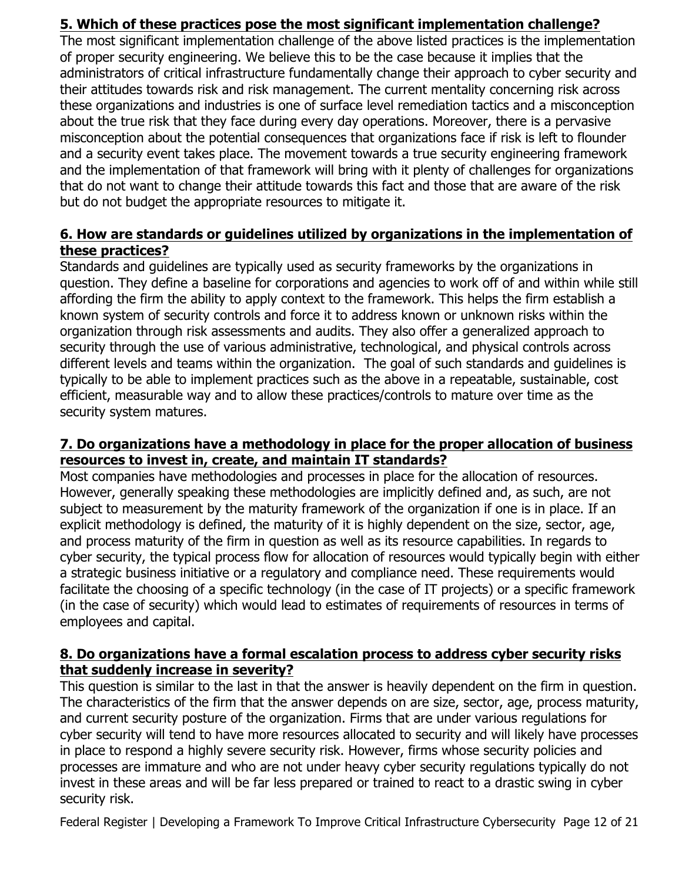## **5. Which of these practices pose the most significant implementation challenge?**

 The most significant implementation challenge of the above listed practices is the implementation of proper security engineering. We believe this to be the case because it implies that the administrators of critical infrastructure fundamentally change their approach to cyber security and their attitudes towards risk and risk management. The current mentality concerning risk across these organizations and industries is one of surface level remediation tactics and a misconception about the true risk that they face during every day operations. Moreover, there is a pervasive misconception about the potential consequences that organizations face if risk is left to flounder and a security event takes place. The movement towards a true security engineering framework and the implementation of that framework will bring with it plenty of challenges for organizations that do not want to change their attitude towards this fact and those that are aware of the risk but do not budget the appropriate resources to mitigate it.

## **6. How are standards or guidelines utilized by organizations in the implementation of these practices?**

 Standards and guidelines are typically used as security frameworks by the organizations in question. They define a baseline for corporations and agencies to work off of and within while still affording the firm the ability to apply context to the framework. This helps the firm establish a known system of security controls and force it to address known or unknown risks within the organization through risk assessments and audits. They also offer a generalized approach to security through the use of various administrative, technological, and physical controls across different levels and teams within the organization. The goal of such standards and guidelines is typically to be able to implement practices such as the above in a repeatable, sustainable, cost efficient, measurable way and to allow these practices/controls to mature over time as the security system matures.

## **7. Do organizations have a methodology in place for the proper allocation of business resources to invest in, create, and maintain IT standards?**

 Most companies have methodologies and processes in place for the allocation of resources. However, generally speaking these methodologies are implicitly defined and, as such, are not subject to measurement by the maturity framework of the organization if one is in place. If an explicit methodology is defined, the maturity of it is highly dependent on the size, sector, age, and process maturity of the firm in question as well as its resource capabilities. In regards to cyber security, the typical process flow for allocation of resources would typically begin with either a strategic business initiative or a regulatory and compliance need. These requirements would facilitate the choosing of a specific technology (in the case of IT projects) or a specific framework (in the case of security) which would lead to estimates of requirements of resources in terms of employees and capital.

#### **8. Do organizations have a formal escalation process to address cyber security risks that suddenly increase in severity?**

 This question is similar to the last in that the answer is heavily dependent on the firm in question. The characteristics of the firm that the answer depends on are size, sector, age, process maturity, and current security posture of the organization. Firms that are under various regulations for cyber security will tend to have more resources allocated to security and will likely have processes in place to respond a highly severe security risk. However, firms whose security policies and processes are immature and who are not under heavy cyber security regulations typically do not invest in these areas and will be far less prepared or trained to react to a drastic swing in cyber security risk.

Federal Register | Developing a Framework To Improve Critical Infrastructure Cybersecurity Page 12 of 21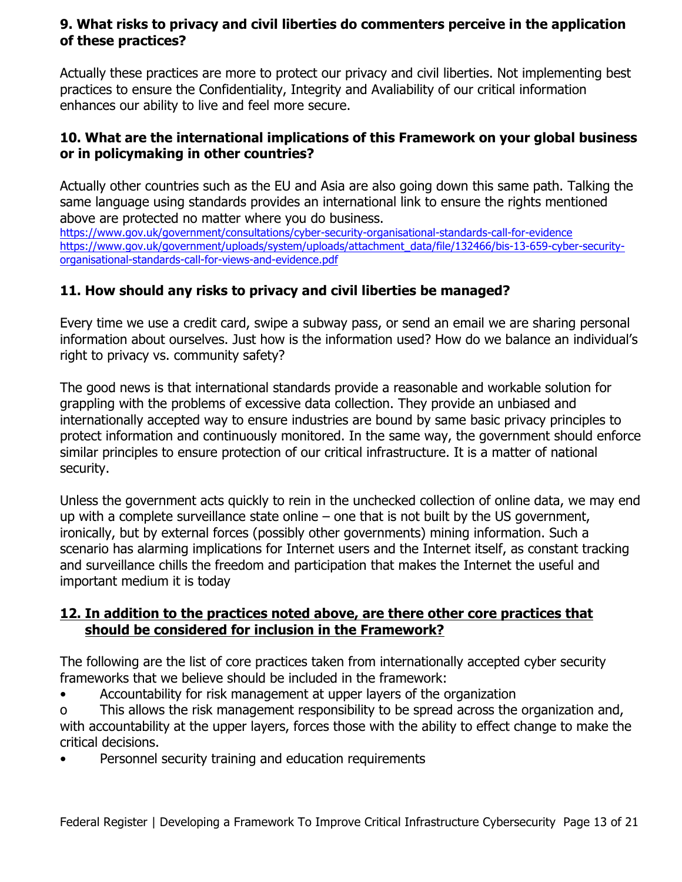## **9. What risks to privacy and civil liberties do commenters perceive in the application of these practices?**

 Actually these practices are more to protect our privacy and civil liberties. Not implementing best practices to ensure the Confidentiality, Integrity and Avaliability of our critical information enhances our ability to live and feel more secure.

## **10. What are the international implications of this Framework on your global business or in policymaking in other countries?**

 Actually other countries such as the EU and Asia are also going down this same path. Talking the same language using standards provides an international link to ensure the rights mentioned above are protected no matter where you do business.

https://www.gov.uk/government/consultations/cyber-security-organisational-standards-call-for-evidence https://www.gov.uk/government/uploads/system/uploads/attachment\_data/file/132466/bis-13-659-cyber-securityorganisational-standards-call-for-views-and-evidence.pdf

## **11. How should any risks to privacy and civil liberties be managed?**

 Every time we use a credit card, swipe a subway pass, or send an email we are sharing personal information about ourselves. Just how is the information used? How do we balance an individual's right to privacy vs. community safety?

right to privacy vs. community safety?<br>The good news is that international standards provide a reasonable and workable solution for grappling with the problems of excessive data collection. They provide an unbiased and internationally accepted way to ensure industries are bound by same basic privacy principles to protect information and continuously monitored. In the same way, the government should enforce similar principles to ensure protection of our critical infrastructure. It is a matter of national security.

 Unless the government acts quickly to rein in the unchecked collection of online data, we may end up with a complete surveillance state online – one that is not built by the US government, ironically, but by external forces (possibly other governments) mining information. Such a scenario has alarming implications for Internet users and the Internet itself, as constant tracking and surveillance chills the freedom and participation that makes the Internet the useful and important medium it is today

## **12. In addition to the practices noted above, are there other core practices that should be considered for inclusion in the Framework?**

 The following are the list of core practices taken from internationally accepted cyber security frameworks that we believe should be included in the framework:

- Accountability for risk management at upper layers of the organization
- $\overline{O}$  with accountability at the upper layers, forces those with the ability to effect change to make the critical decisions. This allows the risk management responsibility to be spread across the organization and,
- Personnel security training and education requirements